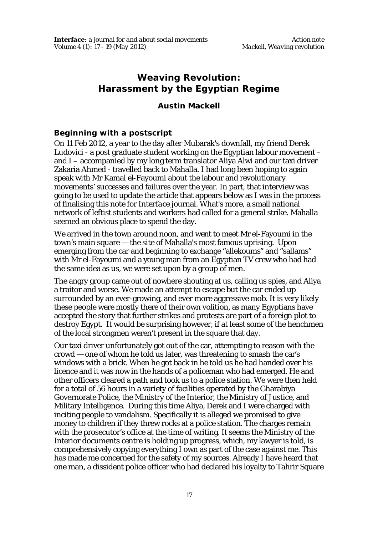## **Weaving Revolution: Harassment by the Egyptian Regime**

## **Austin Mackell**

## **Beginning with a postscript**

On 11 Feb 2012, a year to the day after Mubarak's downfall, my friend Derek Ludovici - a post graduate student working on the Egyptian labour movement – and I – accompanied by my long term translator Aliya Alwi and our taxi driver Zakaria Ahmed - travelled back to Mahalla. I had long been hoping to again speak with Mr Kamal el-Fayoumi about the labour and revolutionary movements' successes and failures over the year. In part, that interview was going to be used to update the article that appears below as I was in the process of finalising this note for *Interface* journal. What's more, a small national network of leftist students and workers had called for a general strike. Mahalla seemed an obvious place to spend the day.

We arrived in the town around noon, and went to meet Mr el-Fayoumi in the town's main square — the site of Mahalla's most famous uprising. Upon emerging from the car and beginning to exchange "allekoums" and "sallams" with Mr el-Fayoumi and a young man from an Egyptian TV crew who had had the same idea as us, we were set upon by a group of men.

The angry group came out of nowhere shouting at us, calling us spies, and Aliya a traitor and worse. We made an attempt to escape but the car ended up surrounded by an ever-growing, and ever more aggressive mob. It is very likely these people were mostly there of their own volition, as many Egyptians have accepted the story that further strikes and protests are part of a foreign plot to destroy Egypt. It would be surprising however, if at least some of the henchmen of the local strongmen weren't present in the square that day.

Our taxi driver unfortunately got out of the car, attempting to reason with the crowd — one of whom he told us later, was threatening to smash the car's windows with a brick. When he got back in he told us he had handed over his licence and it was now in the hands of a policeman who had emerged. He and other officers cleared a path and took us to a police station. We were then held for a total of 56 hours in a variety of facilities operated by the Gharabiya Governorate Police, the Ministry of the Interior, the Ministry of Justice, and Military Intelligence. During this time Aliya, Derek and I were charged with inciting people to vandalism. Specifically it is alleged we promised to give money to children if they threw rocks at a police station. The charges remain with the prosecutor's office at the time of writing. It seems the Ministry of the Interior documents centre is holding up progress, which, my lawyer is told, is comprehensively copying everything I own as part of the case against me. This has made me concerned for the safety of my sources. Already I have heard that one man, a dissident police officer who had declared his loyalty to Tahrir Square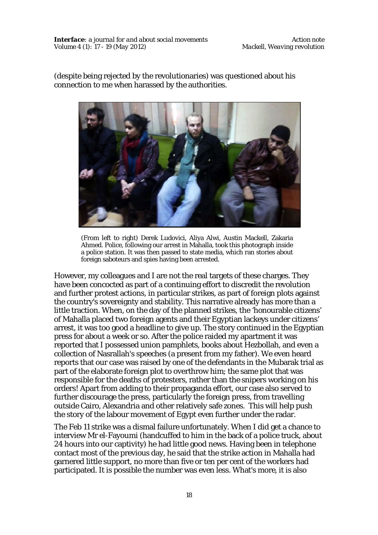(despite being rejected by the revolutionaries) was questioned about his connection to me when harassed by the authorities.



(From left to right) Derek Ludovici, Aliya Alwi, Austin Mackell, Zakaria Ahmed. Police, following our arrest in Mahalla, took this photograph inside a police station. It was then passed to state media, which ran stories about foreign saboteurs and spies having been arrested.

However, my colleagues and I are not the real targets of these charges. They have been concocted as part of a continuing effort to discredit the revolution and further protest actions, in particular strikes, as part of foreign plots against the country's sovereignty and stability. This narrative already has more than a little traction. When, on the day of the planned strikes, the 'honourable citizens' of Mahalla placed two foreign agents and their Egyptian lackeys under citizens' arrest, it was too good a headline to give up. The story continued in the Egyptian press for about a week or so. After the police raided my apartment it was reported that I possessed union pamphlets, books about Hezbollah, and even a collection of Nasrallah's speeches (a present from my father). We even heard reports that our case was raised by one of the defendants in the Mubarak trial as part of the elaborate foreign plot to overthrow him; the same plot that was responsible for the deaths of protesters, rather than the snipers working on his orders! Apart from adding to their propaganda effort, our case also served to further discourage the press, particularly the foreign press, from travelling outside Cairo, Alexandria and other relatively safe zones. This will help push the story of the labour movement of Egypt even further under the radar.

The Feb 11 strike was a dismal failure unfortunately. When I did get a chance to interview Mr el-Fayoumi (handcuffed to him in the back of a police truck, about 24 hours into our captivity) he had little good news. Having been in telephone contact most of the previous day, he said that the strike action in Mahalla had garnered little support, no more than five or ten per cent of the workers had participated. It is possible the number was even less. What's more, it is also